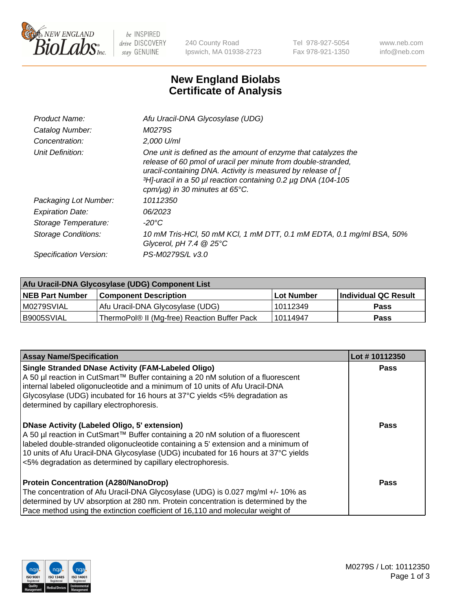

 $be$  INSPIRED drive DISCOVERY stay GENUINE

240 County Road Ipswich, MA 01938-2723 Tel 978-927-5054 Fax 978-921-1350 www.neb.com info@neb.com

## **New England Biolabs Certificate of Analysis**

| Product Name:           | Afu Uracil-DNA Glycosylase (UDG)                                                                                                                                                                                                                                                                        |
|-------------------------|---------------------------------------------------------------------------------------------------------------------------------------------------------------------------------------------------------------------------------------------------------------------------------------------------------|
| Catalog Number:         | M0279S                                                                                                                                                                                                                                                                                                  |
| Concentration:          | $2.000$ U/ml                                                                                                                                                                                                                                                                                            |
| Unit Definition:        | One unit is defined as the amount of enzyme that catalyzes the<br>release of 60 pmol of uracil per minute from double-stranded,<br>uracil-containing DNA. Activity is measured by release of [<br>3H]-uracil in a 50 µl reaction containing 0.2 µg DNA (104-105<br>cpm/ $\mu$ g) in 30 minutes at 65°C. |
| Packaging Lot Number:   | 10112350                                                                                                                                                                                                                                                                                                |
| <b>Expiration Date:</b> | 06/2023                                                                                                                                                                                                                                                                                                 |
| Storage Temperature:    | -20°C                                                                                                                                                                                                                                                                                                   |
| Storage Conditions:     | 10 mM Tris-HCl, 50 mM KCl, 1 mM DTT, 0.1 mM EDTA, 0.1 mg/ml BSA, 50%<br>Glycerol, pH 7.4 $@25^{\circ}C$                                                                                                                                                                                                 |
| Specification Version:  | PS-M0279S/L v3.0                                                                                                                                                                                                                                                                                        |
|                         |                                                                                                                                                                                                                                                                                                         |

| Afu Uracil-DNA Glycosylase (UDG) Component List |                                              |                   |                      |  |
|-------------------------------------------------|----------------------------------------------|-------------------|----------------------|--|
| <b>NEB Part Number</b>                          | <b>Component Description</b>                 | <b>Lot Number</b> | Individual QC Result |  |
| IM0279SVIAL                                     | Afu Uracil-DNA Glycosylase (UDG)             | 10112349          | <b>Pass</b>          |  |
| I B9005SVIAL                                    | ThermoPol® II (Mg-free) Reaction Buffer Pack | 10114947          | Pass                 |  |

| <b>Assay Name/Specification</b>                                                                                                                                                                                                                                                                                                                                                     | Lot #10112350 |
|-------------------------------------------------------------------------------------------------------------------------------------------------------------------------------------------------------------------------------------------------------------------------------------------------------------------------------------------------------------------------------------|---------------|
| <b>Single Stranded DNase Activity (FAM-Labeled Oligo)</b><br>A 50 µl reaction in CutSmart™ Buffer containing a 20 nM solution of a fluorescent<br>internal labeled oligonucleotide and a minimum of 10 units of Afu Uracil-DNA<br>Glycosylase (UDG) incubated for 16 hours at $37^{\circ}$ C yields <5% degradation as<br>determined by capillary electrophoresis.                  | <b>Pass</b>   |
| <b>DNase Activity (Labeled Oligo, 5' extension)</b><br>A 50 µl reaction in CutSmart™ Buffer containing a 20 nM solution of a fluorescent<br>labeled double-stranded oligonucleotide containing a 5' extension and a minimum of<br>10 units of Afu Uracil-DNA Glycosylase (UDG) incubated for 16 hours at 37°C yields<br><5% degradation as determined by capillary electrophoresis. | Pass          |
| <b>Protein Concentration (A280/NanoDrop)</b><br>The concentration of Afu Uracil-DNA Glycosylase (UDG) is 0.027 mg/ml +/- 10% as<br>determined by UV absorption at 280 nm. Protein concentration is determined by the<br>Pace method using the extinction coefficient of 16,110 and molecular weight of                                                                              | Pass          |

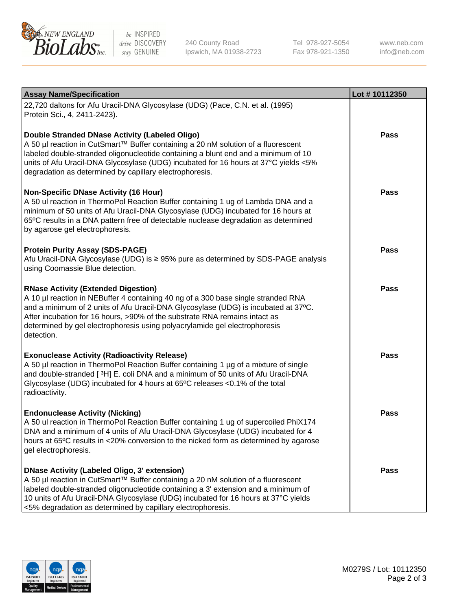

be INSPIRED drive DISCOVERY stay GENUINE

240 County Road Ipswich, MA 01938-2723 Tel 978-927-5054 Fax 978-921-1350

www.neb.com info@neb.com

| <b>Assay Name/Specification</b>                                                                                                                                                                                                                                                                                                                                                                 | Lot #10112350 |
|-------------------------------------------------------------------------------------------------------------------------------------------------------------------------------------------------------------------------------------------------------------------------------------------------------------------------------------------------------------------------------------------------|---------------|
| 22,720 daltons for Afu Uracil-DNA Glycosylase (UDG) (Pace, C.N. et al. (1995)<br>Protein Sci., 4, 2411-2423).                                                                                                                                                                                                                                                                                   |               |
| Double Stranded DNase Activity (Labeled Oligo)<br>A 50 µl reaction in CutSmart™ Buffer containing a 20 nM solution of a fluorescent<br>labeled double-stranded oligonucleotide containing a blunt end and a minimum of 10<br>units of Afu Uracil-DNA Glycosylase (UDG) incubated for 16 hours at 37°C yields <5%<br>degradation as determined by capillary electrophoresis.                     | <b>Pass</b>   |
| <b>Non-Specific DNase Activity (16 Hour)</b><br>A 50 ul reaction in ThermoPol Reaction Buffer containing 1 ug of Lambda DNA and a<br>minimum of 50 units of Afu Uracil-DNA Glycosylase (UDG) incubated for 16 hours at<br>65°C results in a DNA pattern free of detectable nuclease degradation as determined<br>by agarose gel electrophoresis.                                                | Pass          |
| <b>Protein Purity Assay (SDS-PAGE)</b><br>Afu Uracil-DNA Glycosylase (UDG) is ≥ 95% pure as determined by SDS-PAGE analysis<br>using Coomassie Blue detection.                                                                                                                                                                                                                                  | <b>Pass</b>   |
| <b>RNase Activity (Extended Digestion)</b><br>A 10 µl reaction in NEBuffer 4 containing 40 ng of a 300 base single stranded RNA<br>and a minimum of 2 units of Afu Uracil-DNA Glycosylase (UDG) is incubated at 37°C.<br>After incubation for 16 hours, >90% of the substrate RNA remains intact as<br>determined by gel electrophoresis using polyacrylamide gel electrophoresis<br>detection. | <b>Pass</b>   |
| <b>Exonuclease Activity (Radioactivity Release)</b><br>A 50 µl reaction in ThermoPol Reaction Buffer containing 1 µg of a mixture of single<br>and double-stranded [3H] E. coli DNA and a minimum of 50 units of Afu Uracil-DNA<br>Glycosylase (UDG) incubated for 4 hours at 65°C releases <0.1% of the total<br>radioactivity.                                                                | <b>Pass</b>   |
| <b>Endonuclease Activity (Nicking)</b><br>A 50 ul reaction in ThermoPol Reaction Buffer containing 1 ug of supercoiled PhiX174<br>DNA and a minimum of 4 units of Afu Uracil-DNA Glycosylase (UDG) incubated for 4<br>hours at 65°C results in <20% conversion to the nicked form as determined by agarose<br>gel electrophoresis.                                                              | <b>Pass</b>   |
| <b>DNase Activity (Labeled Oligo, 3' extension)</b><br>A 50 µl reaction in CutSmart™ Buffer containing a 20 nM solution of a fluorescent<br>labeled double-stranded oligonucleotide containing a 3' extension and a minimum of<br>10 units of Afu Uracil-DNA Glycosylase (UDG) incubated for 16 hours at 37°C yields<br><5% degradation as determined by capillary electrophoresis.             | Pass          |